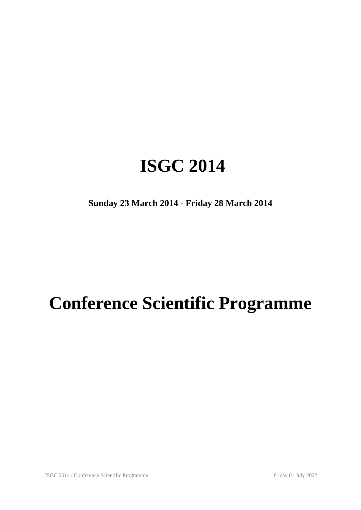## **ISGC 2014**

**Sunday 23 March 2014 - Friday 28 March 2014**

# **Conference Scientific Programme**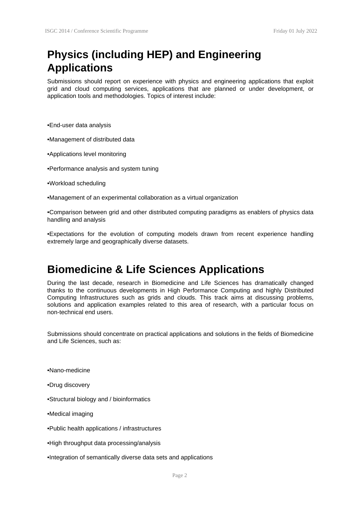#### **Physics (including HEP) and Engineering Applications**

Submissions should report on experience with physics and engineering applications that exploit grid and cloud computing services, applications that are planned or under development, or application tools and methodologies. Topics of interest include:

•End-user data analysis

•Management of distributed data

- •Applications level monitoring
- •Performance analysis and system tuning
- •Workload scheduling
- •Management of an experimental collaboration as a virtual organization

•Comparison between grid and other distributed computing paradigms as enablers of physics data handling and analysis

•Expectations for the evolution of computing models drawn from recent experience handling extremely large and geographically diverse datasets.

#### **Biomedicine & Life Sciences Applications**

During the last decade, research in Biomedicine and Life Sciences has dramatically changed thanks to the continuous developments in High Performance Computing and highly Distributed Computing Infrastructures such as grids and clouds. This track aims at discussing problems, solutions and application examples related to this area of research, with a particular focus on non-technical end users.

Submissions should concentrate on practical applications and solutions in the fields of Biomedicine and Life Sciences, such as:

•Nano-medicine

- •Drug discovery
- •Structural biology and / bioinformatics
- •Medical imaging
- •Public health applications / infrastructures
- •High throughput data processing/analysis
- •Integration of semantically diverse data sets and applications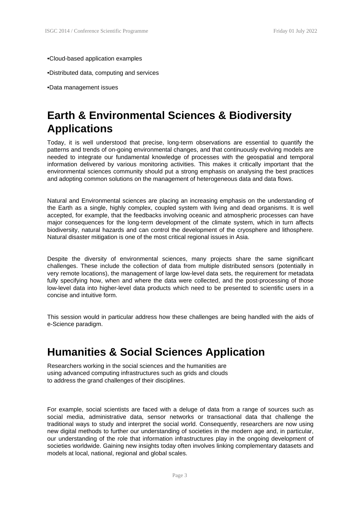#### •Cloud-based application examples

•Distributed data, computing and services

•Data management issues

### **Earth & Environmental Sciences & Biodiversity Applications**

Today, it is well understood that precise, long-term observations are essential to quantify the patterns and trends of on-going environmental changes, and that continuously evolving models are needed to integrate our fundamental knowledge of processes with the geospatial and temporal information delivered by various monitoring activities. This makes it critically important that the environmental sciences community should put a strong emphasis on analysing the best practices and adopting common solutions on the management of heterogeneous data and data flows.

Natural and Environmental sciences are placing an increasing emphasis on the understanding of the Earth as a single, highly complex, coupled system with living and dead organisms. It is well accepted, for example, that the feedbacks involving oceanic and atmospheric processes can have major consequences for the long-term development of the climate system, which in turn affects biodiversity, natural hazards and can control the development of the cryosphere and lithosphere. Natural disaster mitigation is one of the most critical regional issues in Asia.

Despite the diversity of environmental sciences, many projects share the same significant challenges. These include the collection of data from multiple distributed sensors (potentially in very remote locations), the management of large low-level data sets, the requirement for metadata fully specifying how, when and where the data were collected, and the post-processing of those low-level data into higher-level data products which need to be presented to scientific users in a concise and intuitive form.

This session would in particular address how these challenges are being handled with the aids of e-Science paradigm.

#### **Humanities & Social Sciences Application**

Researchers working in the social sciences and the humanities are using advanced computing infrastructures such as grids and clouds to address the grand challenges of their disciplines.

For example, social scientists are faced with a deluge of data from a range of sources such as social media, administrative data, sensor networks or transactional data that challenge the traditional ways to study and interpret the social world. Consequently, researchers are now using new digital methods to further our understanding of societies in the modern age and, in particular, our understanding of the role that information infrastructures play in the ongoing development of societies worldwide. Gaining new insights today often involves linking complementary datasets and models at local, national, regional and global scales.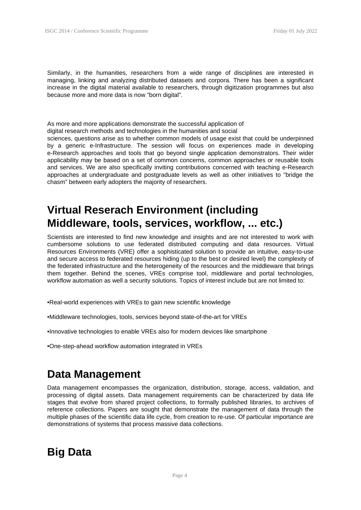Similarly, in the humanities, researchers from a wide range of disciplines are interested in managing, linking and analyzing distributed datasets and corpora. There has been a significant increase in the digital material available to researchers, through digitization programmes but also because more and more data is now "born digital".

As more and more applications demonstrate the successful application of digital research methods and technologies in the humanities and social

sciences, questions arise as to whether common models of usage exist that could be underpinned by a generic e-Infrastructure. The session will focus on experiences made in developing e-Research approaches and tools that go beyond single application demonstrators. Their wider applicability may be based on a set of common concerns, common approaches or reusable tools and services. We are also specifically inviting contributions concerned with teaching e-Research approaches at undergraduate and postgraduate levels as well as other initiatives to "bridge the chasm" between early adopters the majority of researchers.

#### **Virtual Reserach Environment (including Middleware, tools, services, workflow, ... etc.)**

Scientists are interested to find new knowledge and insights and are not interested to work with cumbersome solutions to use federated distributed computing and data resources. Virtual Resources Environments (VRE) offer a sophisticated solution to provide an intuitive, easy-to-use and secure access to federated resources hiding (up to the best or desired level) the complexity of the federated infrastructure and the heterogeneity of the resources and the middleware that brings them together. Behind the scenes, VREs comprise tool, middleware and portal technologies, workflow automation as well a security solutions. Topics of interest include but are not limited to:

•Real-world experiences with VREs to gain new scientific knowledge

- •Middleware technologies, tools, services beyond state-of-the-art for VREs
- •Innovative technologies to enable VREs also for modern devices like smartphone

•One-step-ahead workflow automation integrated in VREs

#### **Data Management**

Data management encompasses the organization, distribution, storage, access, validation, and processing of digital assets. Data management requirements can be characterized by data life stages that evolve from shared project collections, to formally published libraries, to archives of reference collections. Papers are sought that demonstrate the management of data through the multiple phases of the scientific data life cycle, from creation to re-use. Of particular importance are demonstrations of systems that process massive data collections.

#### **Big Data**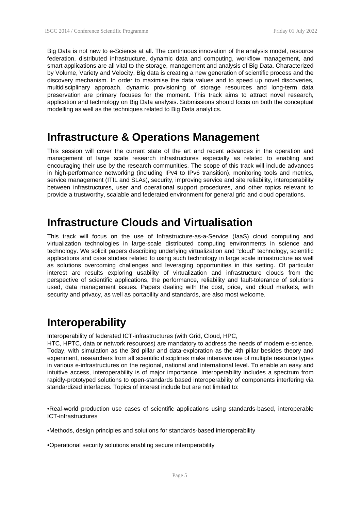Big Data is not new to e-Science at all. The continuous innovation of the analysis model, resource federation, distributed infrastructure, dynamic data and computing, workflow management, and smart applications are all vital to the storage, management and analysis of Big Data. Characterized by Volume, Variety and Velocity, Big data is creating a new generation of scientific process and the discovery mechanism. In order to maximise the data values and to speed up novel discoveries, multidisciplinary approach, dynamic provisioning of storage resources and long-term data preservation are primary focuses for the moment. This track aims to attract novel research, application and technology on Big Data analysis. Submissions should focus on both the conceptual modelling as well as the techniques related to Big Data analytics.

#### **Infrastructure & Operations Management**

This session will cover the current state of the art and recent advances in the operation and management of large scale research infrastructures especially as related to enabling and encouraging their use by the research communities. The scope of this track will include advances in high-performance networking (including IPv4 to IPv6 transition), monitoring tools and metrics, service management (ITIL and SLAs), security, improving service and site reliability, interoperability between infrastructures, user and operational support procedures, and other topics relevant to provide a trustworthy, scalable and federated environment for general grid and cloud operations.

#### **Infrastructure Clouds and Virtualisation**

This track will focus on the use of Infrastructure-as-a-Service (IaaS) cloud computing and virtualization technologies in large-scale distributed computing environments in science and technology. We solicit papers describing underlying virtualization and "cloud" technology, scientific applications and case studies related to using such technology in large scale infrastructure as well as solutions overcoming challenges and leveraging opportunities in this setting. Of particular interest are results exploring usability of virtualization and infrastructure clouds from the perspective of scientific applications, the performance, reliability and fault-tolerance of solutions used, data management issues. Papers dealing with the cost, price, and cloud markets, with security and privacy, as well as portability and standards, are also most welcome.

#### **Interoperability**

Interoperability of federated ICT-infrastructures (with Grid, Cloud, HPC,

HTC, HPTC, data or network resources) are mandatory to address the needs of modern e-science. Today, with simulation as the 3rd pillar and data-exploration as the 4th pillar besides theory and experiment, researchers from all scientific disciplines make intensive use of multiple resource types in various e-infrastructures on the regional, national and international level. To enable an easy and intuitive access, interoperability is of major importance. Interoperability includes a spectrum from rapidly-prototyped solutions to open-standards based interoperability of components interfering via standardized interfaces. Topics of interest include but are not limited to:

•Real-world production use cases of scientific applications using standards-based, interoperable ICT-infrastructures

•Methods, design principles and solutions for standards-based interoperability

•Operational security solutions enabling secure interoperability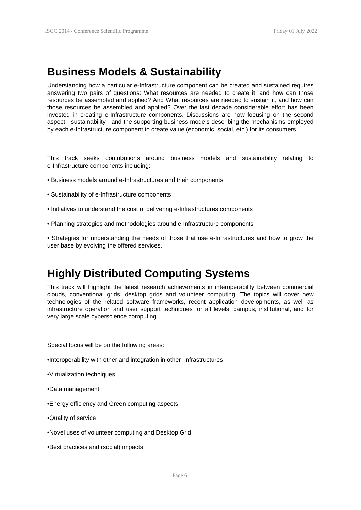#### **Business Models & Sustainability**

Understanding how a particular e-Infrastructure component can be created and sustained requires answering two pairs of questions: What resources are needed to create it, and how can those resources be assembled and applied? And What resources are needed to sustain it, and how can those resources be assembled and applied? Over the last decade considerable effort has been invested in creating e-Infrastructure components. Discussions are now focusing on the second aspect - sustainability - and the supporting business models describing the mechanisms employed by each e-Infrastructure component to create value (economic, social, etc.) for its consumers.

This track seeks contributions around business models and sustainability relating to e-Infrastructure components including:

- Business models around e-Infrastructures and their components
- Sustainability of e-Infrastructure components
- Initiatives to understand the cost of delivering e-Infrastructures components
- Planning strategies and methodologies around e-Infrastructure components
- Strategies for understanding the needs of those that use e-Infrastructures and how to grow the user base by evolving the offered services.

#### **Highly Distributed Computing Systems**

This track will highlight the latest research achievements in interoperability between commercial clouds, conventional grids, desktop grids and volunteer computing. The topics will cover new technologies of the related software frameworks, recent application developments, as well as infrastructure operation and user support techniques for all levels: campus, institutional, and for very large scale cyberscience computing.

Special focus will be on the following areas:

- •Interoperability with other and integration in other -infrastructures
- •Virtualization techniques
- •Data management
- •Energy efficiency and Green computing aspects
- •Quality of service
- •Novel uses of volunteer computing and Desktop Grid
- •Best practices and (social) impacts